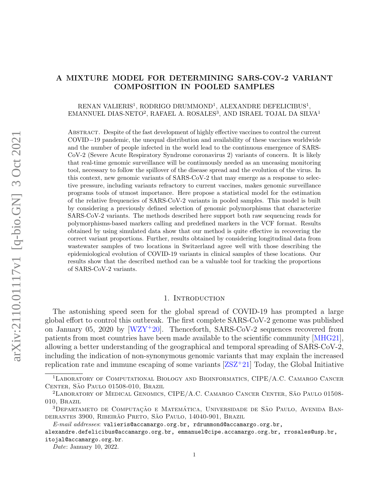# <span id="page-0-0"></span>A MIXTURE MODEL FOR DETERMINING SARS-COV-2 VARIANT COMPOSITION IN POOLED SAMPLES

# $\rm RENAN$  VALIERIS<sup>1</sup>, RODRIGO DRUMMOND<sup>1</sup>, ALEXANDRE DEFELICIBUS<sup>1</sup>,  $\emph{EMANNUEL}$ DIAS-NETO², RAFAEL A. $\emph{ROSALES}^3,$  AND ISRAEL TOJAL DA SILVA<sup>1</sup>

Abstract. Despite of the fast development of highly effective vaccines to control the current COVID−19 pandemic, the unequal distribution and availability of these vaccines worldwide and the number of people infected in the world lead to the continuous emergence of SARS-CoV-2 (Severe Acute Respiratory Syndrome coronavirus 2) variants of concern. It is likely that real-time genomic surveillance will be continuously needed as an unceasing monitoring tool, necessary to follow the spillover of the disease spread and the evolution of the virus. In this context, new genomic variants of SARS-CoV-2 that may emerge as a response to selective pressure, including variants refractory to current vaccines, makes genomic surveillance programs tools of utmost importance. Here propose a statistical model for the estimation of the relative frequencies of SARS-CoV-2 variants in pooled samples. This model is built by considering a previously defined selection of genomic polymorphisms that characterize SARS-CoV-2 variants. The methods described here support both raw sequencing reads for polymorphisms-based markers calling and predefined markers in the VCF format. Results obtained by using simulated data show that our method is quite effective in recovering the correct variant proportions. Further, results obtained by considering longitudinal data from wastewater samples of two locations in Switzerland agree well with those describing the epidemiological evolution of COVID-19 variants in clinical samples of these locations. Our results show that the described method can be a valuable tool for tracking the proportions of SARS-CoV-2 variants.

#### 1. INTRODUCTION

The astonishing speed seen for the global spread of COVID-19 has prompted a large global effort to control this outbreak. The first complete SARS-CoV-2 genome was published on January 05, 2020 by  $[WZY^+20]$  $[WZY^+20]$ . Thenceforth, SARS-CoV-2 sequences recovered from patients from most countries have been made available to the scientific community [\[MHG21\]](#page-13-1), allowing a better understanding of the geographical and temporal spreading of SARS-CoV-2, including the indication of non-synonymous genomic variants that may explain the increased replication rate and immune escaping of some variants  $[ZSZ^+21]$  $[ZSZ^+21]$  Today, the Global Initiative

<sup>1</sup>Laboratory of Computational Biology and Bioinformatics, CIPE/A.C. Camargo Cancer CENTER, SÃO PAULO 01508-010, BRAZIL

<sup>&</sup>lt;sup>2</sup>LABORATORY OF MEDICAL GENOMICS, CIPE/A.C. CAMARGO CANCER CENTER, SÃO PAULO 01508-010, Brazil

 $3$ Departameto de Computação e Matemática, Universidade de São Paulo, Avenida Bandeirantes 3900, Ribeirão Preto, São Paulo, 14040-901, Brazil

 $E\text{-}mail\;addresses: \texttt{valier} is@accamargo.org.br, \texttt{rdrummond@accamargo.org.br},$ 

alexandre.defelicibus@accamargo.org.br, emmanuel@cipe.accamargo.org.br, rrosales@usp.br, itojal@accamargo.org.br.

Date: January 10, 2022.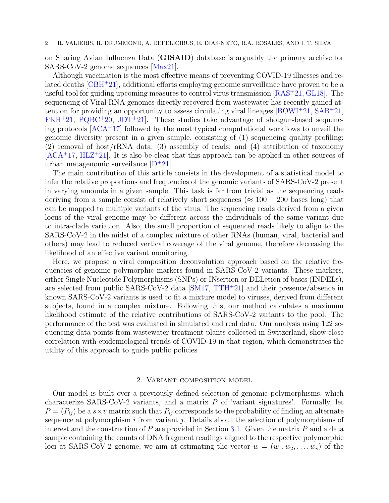on Sharing Avian Influenza Data (GISAID) database is arguably the primary archive for SARS-CoV-2 genome sequences [\[Max21\]](#page-13-3).

Although vaccination is the most effective means of preventing COVID-19 illnesses and related deaths [\[CBH](#page-12-0)<sup>+</sup>21], additional efforts employing genomic surveillance have proven to be a useful tool for guiding upcoming measures to control virus transmission [\[RAS](#page-13-4)<sup>+</sup>21, [GL18\]](#page-13-5). The sequencing of Viral RNA genomes directly recovered from wastewater has recently gained attention for providing an opportunity to assess circulating viral lineages  $[360W1^+21, 5AB^+21, 5AB^+21, 5AB^+21, 5AB^+21, 5AB^+21, 5AB^+21, 5AB^+21, 5AB^+21, 5AB^+21, 5AB^+21, 5AB^+21, 5AB^+21, 5AB^+21, 5AB^+21, 5AB^+21, 5AB^+21, 5AB^+21$  $FKH+21$  $FKH+21$ ,  $PQBC+20$  $PQBC+20$ ,  $JDT+21$  $JDT+21$ . These studies take advantage of shotgun-based sequencing protocols  $[ACA<sup>+</sup>17]$  $[ACA<sup>+</sup>17]$  followed by the most typical computational workflows to unveil the genomic diversity present in a given sample, consisting of (1) sequencing quality profiling; (2) removal of host/rRNA data; (3) assembly of reads; and (4) attribution of taxonomy  $[ACA<sup>+</sup>17, HLZ<sup>+</sup>21]$  $[ACA<sup>+</sup>17, HLZ<sup>+</sup>21]$  $[ACA<sup>+</sup>17, HLZ<sup>+</sup>21]$  $[ACA<sup>+</sup>17, HLZ<sup>+</sup>21]$ . It is also be clear that this approach can be applied in other sources of urban metagenomic surveilance  $[D^+21]$  $[D^+21]$ .

The main contribution of this article consists in the development of a statistical model to infer the relative proportions and frequencies of the genomic variants of SARS-CoV-2 present in varying amounts in a given sample. This task is far from trivial as the sequencing reads deriving from a sample consist of relatively short sequences ( $\approx 100 - 200$  bases long) that can be mapped to multiple variants of the virus. The sequencing reads derived from a given locus of the viral genome may be different across the individuals of the same variant due to intra-clade variation. Also, the small proportion of sequenced reads likely to align to the SARS-CoV-2 in the midst of a complex mixture of other RNAs (human, viral, bacterial and others) may lead to reduced vertical coverage of the viral genome, therefore decreasing the likelihood of an effective variant monitoring.

Here, we propose a viral composition deconvolution approach based on the relative frequencies of genomic polymorphic markers found in SARS-CoV-2 variants. These markers, either Single Nucleotide Polymorphisms (SNPs) or INsertion or DELetion of bases (INDELs), are selected from public SARS-CoV-2 data [\[SM17,](#page-13-10) [TTH](#page-13-11)<sup>+</sup>21] and their presence/absence in known SARS-CoV-2 variants is used to fit a mixture model to viruses, derived from different subjects, found in a complex mixture. Following this, our method calculates a maximum likelihood estimate of the relative contributions of SARS-CoV-2 variants to the pool. The performance of the test was evaluated in simulated and real data. Our analysis using 122 sequencing data-points from wastewater treatment plants collected in Switzerland, show close correlation with epidemiological trends of COVID-19 in that region, which demonstrates the utility of this approach to guide public policies

## 2. Variant composition model

Our model is built over a previously defined selection of genomic polymorphisms, which characterize SARS-CoV-2 variants, and a matrix  $P$  of 'variant signatures'. Formally, let  $P = (P_{ij})$  be a  $s \times v$  matrix such that  $P_{ij}$  corresponds to the probability of finding an alternate sequence at polymorphism  $i$  from variant  $j$ . Details about the selection of polymorphisms of interest and the construction of  $P$  are provided in Section [3.1.](#page-3-0) Given the matrix  $P$  and a data sample containing the counts of DNA fragment readings aligned to the respective polymorphic loci at SARS-CoV-2 genome, we aim at estimating the vector  $w = (w_1, w_2, \ldots, w_v)$  of the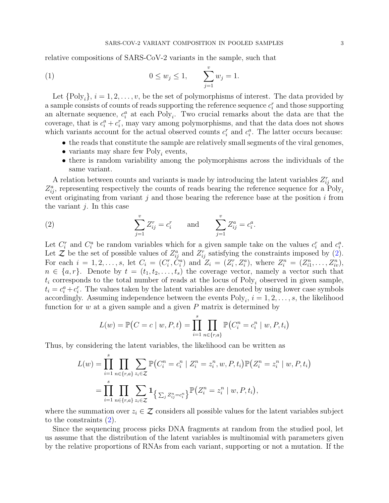relative compositions of SARS-CoV-2 variants in the sample, such that

<span id="page-2-1"></span>(1) 
$$
0 \le w_j \le 1, \qquad \sum_{j=1}^v w_j = 1.
$$

Let  $\{Poly_i\}, i = 1, 2, \ldots, v$ , be the set of polymorphisms of interest. The data provided by a sample consists of counts of reads supporting the reference sequence  $c_i^r$  and those supporting an alternate sequence,  $c_i^a$  at each Poly<sub>i</sub>. Two crucial remarks about the data are that the coverage, that is  $c_i^a + c_i^r$ , may vary among polymorphisms, and that the data does not shows which variants account for the actual observed counts  $c_i^r$  and  $c_i^a$ . The latter occurs because:

- the reads that constitute the sample are relatively small segments of the viral genomes,
- variants may share few  $Poly_i$  events,
- there is random variability among the polymorphisms across the individuals of the same variant.

A relation between counts and variants is made by introducing the latent variables  $Z_{ij}^r$  and  $Z_{ij}^a$ , representing respectively the counts of reads bearing the reference sequence for a Poly<sub>i</sub> event originating from variant j and those bearing the reference base at the position  $i$  from the variant  $j$ . In this case

<span id="page-2-0"></span>(2) 
$$
\sum_{j=1}^{v} Z_{ij}^{r} = c_{i}^{r} \quad \text{and} \quad \sum_{j=1}^{v} Z_{ij}^{a} = c_{i}^{a}.
$$

Let  $C_i^r$  and  $C_i^a$  be random variables which for a given sample take on the values  $c_i^r$  and  $c_i^a$ . Let Z be the set of possible values of  $Z_{ij}^a$  and  $Z_{ij}^r$  satisfying the constraints imposed by [\(2\)](#page-2-0). For each  $i = 1, 2, ..., s$ , let  $C_i = (C_i^r, C_i^a)$  and  $Z_i = (Z_i^r, Z_i^a)$ , where  $Z_i^n = (Z_{i1}^n, ..., Z_{iv}^n)$ ,  $n \in \{a, r\}$ . Denote by  $t = (t_1, t_2, \ldots, t_s)$  the coverage vector, namely a vector such that  $t_i$  corresponds to the total number of reads at the locus of Poly<sub>i</sub> observed in given sample,  $t_i = c_i^a + c_i^r$ . The values taken by the latent variables are denoted by using lower case symbols accordingly. Assuming independence between the events  $Poly_i$ ,  $i = 1, 2, ..., s$ , the likelihood function for  $w$  at a given sample and a given  $P$  matrix is determined by

$$
L(w) = \mathbb{P}\big(C = c \mid w, P, t\big) = \prod_{i=1}^{s} \prod_{n \in \{r, a\}} \mathbb{P}\big(C_i^n = c_i^n \mid w, P, t_i\big)
$$

Thus, by considering the latent variables, the likelihood can be written as

$$
L(w) = \prod_{i=1}^{s} \prod_{n \in \{r,a\}} \sum_{z_i \in \mathcal{Z}} \mathbb{P}(C_i^n = c_i^n | Z_i^n = z_i^n, w, P, t_i) \mathbb{P}(Z_i^n = z_i^n | w, P, t_i)
$$
  
= 
$$
\prod_{i=1}^{s} \prod_{n \in \{r,a\}} \sum_{z_i \in \mathcal{Z}} \mathbf{1}_{\left\{\sum_j Z_{ij}^n = c_i^n\right\}} \mathbb{P}(Z_i^n = z_i^n | w, P, t_i),
$$

where the summation over  $z_i \in \mathcal{Z}$  considers all possible values for the latent variables subject to the constraints [\(2\)](#page-2-0).

Since the sequencing process picks DNA fragments at random from the studied pool, let us assume that the distribution of the latent variables is multinomial with parameters given by the relative proportions of RNAs from each variant, supporting or not a mutation. If the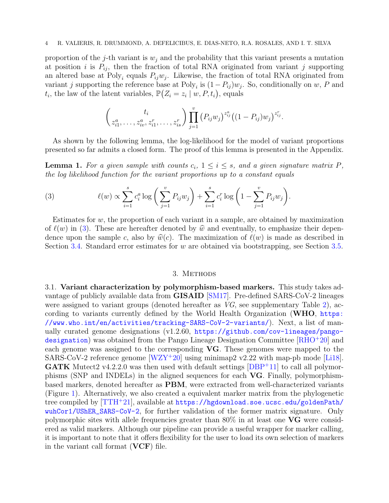proportion of the j-th variant is  $w_j$  and the probability that this variant presents a mutation at position i is  $P_{ij}$ , then the fraction of total RNA originated from variant j supporting an altered base at Poly<sub>i</sub> equals  $P_{ij}w_j$ . Likewise, the fraction of total RNA originated from variant j supporting the reference base at Poly<sub>i</sub> is  $(1-P_{ij})w_j$ . So, conditionally on w, P and  $t_i$ , the law of the latent variables,  $\mathbb{P}(Z_i = z_i \mid w, P, t_i)$ , equals

$$
\left(\begin{matrix} t_i \\ z_{i1}^a, \ldots, z_{iv}^a, z_{i1}^r, \ldots, z_{is}^r \end{matrix}\right) \prod_{j=1}^v \left(P_{ij} w_j\right)^{z_{ij}^a} \left((1 - P_{ij}) w_j\right)^{z_{ij}^r}.
$$

As shown by the following lemma, the log-likelihood for the model of variant proportions presented so far admits a closed form. The proof of this lemma is presented in the Appendix.

<span id="page-3-2"></span>**Lemma 1.** For a given sample with counts  $c_i$ ,  $1 \leq i \leq s$ , and a given signature matrix P, the log likelihood function for the variant proportions up to a constant equals

<span id="page-3-1"></span>(3) 
$$
\ell(w) \propto \sum_{i=1}^{s} c_i^a \log \left( \sum_{j=1}^{v} P_{ij} w_j \right) + \sum_{i=1}^{s} c_i^r \log \left( 1 - \sum_{j=1}^{v} P_{ij} w_j \right).
$$

Estimates for  $w$ , the proportion of each variant in a sample, are obtained by maximization of  $\ell(w)$  in [\(3\)](#page-3-1). These are hereafter denoted by  $\hat{w}$  and eventually, to emphasize their dependence upon the sample c, also by  $\hat{w}(c)$ . The maximization of  $\ell(w)$  is made as described in Section [3.4.](#page-4-0) Standard error estimates for w are obtained via bootstrapping, see Section [3.5.](#page-5-0)

#### 3. METHODS

<span id="page-3-0"></span>3.1. Variant characterization by polymorphism-based markers. This study takes advantage of publicly available data from GISAID [\[SM17\]](#page-13-10). Pre-defined SARS-CoV-2 lineages were assigned to variant groups (denoted hereafter as VG, see supplementary Table [2\)](#page-18-0), according to variants currently defined by the World Health Organization (WHO, [https:](https://www.who.int/en/activities/tracking-SARS-CoV-2-variants/) [//www.who.int/en/activities/tracking-SARS-CoV-2-variants/](https://www.who.int/en/activities/tracking-SARS-CoV-2-variants/)). Next, a list of manually curated genome designations (v1.2.60, [https://github.com/cov-lineages/pango](https://github.com/cov-lineages/pango-designation)[designation](https://github.com/cov-lineages/pango-designation)) was obtained from the Pango Lineage Designation Committee  $|RHO+20|$  and each genome was assigned to the corresponding VG. These genomes were mapped to the SARS-CoV-2 reference genome  $[WZY^+20]$  $[WZY^+20]$  using minimap2 v2.22 with map-pb mode [\[Li18\]](#page-13-13). **GATK** Mutect 2 v4.2.2.0 was then used with default settings  $[DBP+11]$  $[DBP+11]$  to call all polymorphisms (SNP and INDELs) in the aligned sequences for each VG. Finally, polymorphismbased markers, denoted hereafter as PBM, were extracted from well-characterized variants (Figure [1\)](#page-6-0). Alternatively, we also created a equivalent marker matrix from the phylogenetic tree compiled by  $[TH^+21]$ , available at [https://hgdownload.soe.ucsc.edu/goldenPath/](https://hgdownload.soe.ucsc.edu/goldenPath/wuhCor1/UShER_SARS-CoV-2) [wuhCor1/UShER\\_SARS-CoV-2](https://hgdownload.soe.ucsc.edu/goldenPath/wuhCor1/UShER_SARS-CoV-2), for further validation of the former matrix signature. Only polymorphic sites with allele frequencies greater than  $80\%$  in at least one VG were considered as valid markers. Although our pipeline can provide a useful wrapper for marker calling, it is important to note that it offers flexibility for the user to load its own selection of markers in the variant call format  $(VCF)$  file.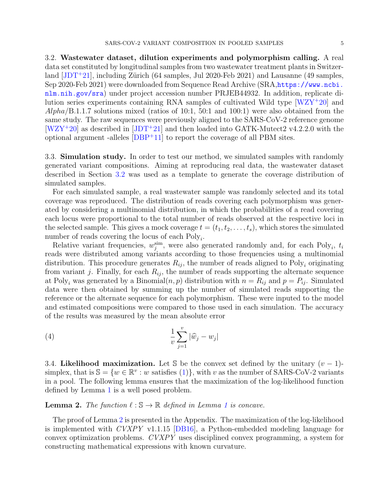<span id="page-4-1"></span>3.2. Wastewater dataset, dilution experiments and polymorphism calling. A real data set constituted by longitudinal samples from two wastewater treatment plants in Switzerland  $[JDT+21]$  $[JDT+21]$ , including Zürich (64 samples, Jul 2020-Feb 2021) and Lausanne (49 samples, Sep 2020-Feb 2021) were downloaded from Sequence Read Archive (SRA,[https://www.ncbi.](https://www.ncbi.nlm.nih.gov/sra) [nlm.nih.gov/sra](https://www.ncbi.nlm.nih.gov/sra)) under project accession number PRJEB44932. In addition, replicate dilution series experiments containing RNA samples of cultivated Wild type [\[WZY](#page-13-0)<sup>+</sup>20] and  $Alpha/B.1.1.7$  solutions mixed (ratios of 10:1, 50:1 and 100:1) were also obtained from the same study. The raw sequences were previously aligned to the SARS-CoV-2 reference genome  $[WZY^+20]$  $[WZY^+20]$  as described in  $[JDT^+21]$  $[JDT^+21]$  and then loaded into GATK-Mutect2 v4.2.2.0 with the optional argument -alleles  $[DBP+11]$  $[DBP+11]$  to report the coverage of all PBM sites.

3.3. Simulation study. In order to test our method, we simulated samples with randomly generated variant compositions. Aiming at reproducing real data, the wastewater dataset described in Section [3.2](#page-4-1) was used as a template to generate the coverage distribution of simulated samples.

For each simulated sample, a real wastewater sample was randomly selected and its total coverage was reproduced. The distribution of reads covering each polymorphism was generated by considering a multinomial distribution, in which the probabilities of a read covering each locus were proportional to the total number of reads observed at the respective loci in the selected sample. This gives a mock coverage  $t = (t_1, t_2, \ldots, t_s)$ , which stores the simulated number of reads covering the locus of each  $Poly_i$ .

Relative variant frequencies,  $w_j^{\text{sim}}$ , were also generated randomly and, for each Poly<sub>i</sub>,  $t_i$ reads were distributed among variants according to those frequencies using a multinomial distribution. This procedure generates  $R_{ij}$ , the number of reads aligned to Poly<sub>i</sub> originating from variant j. Finally, for each  $R_{ij}$ , the number of reads supporting the alternate sequence at Poly<sub>i</sub> was generated by a Binomial $(n, p)$  distribution with  $n = R_{ij}$  and  $p = P_{ij}$ . Simulated data were then obtained by summing up the number of simulated reads supporting the reference or the alternate sequence for each polymorphism. These were inputed to the model and estimated compositions were compared to those used in each simulation. The accuracy of the results was measured by the mean absolute error

<span id="page-4-3"></span>
$$
\frac{1}{v} \sum_{j=1}^{v} |\widehat{w}_j - w_j|
$$

<span id="page-4-0"></span>3.4. Likelihood maximization. Let S be the convex set defined by the unitary  $(v-1)$ simplex, that is  $\mathbb{S} = \{w \in \mathbb{R}^v : w \text{ satisfies (1)}\},\$  $\mathbb{S} = \{w \in \mathbb{R}^v : w \text{ satisfies (1)}\},\$  $\mathbb{S} = \{w \in \mathbb{R}^v : w \text{ satisfies (1)}\},\$  with v as the number of SARS-CoV-2 variants in a pool. The following lemma ensures that the maximization of the log-likelihood function defined by Lemma [1](#page-3-2) is a well posed problem.

# <span id="page-4-2"></span>**Lemma 2.** The function  $\ell : \mathbb{S} \to \mathbb{R}$  defined in Lemma [1](#page-3-2) is concave.

The proof of Lemma [2](#page-4-2) is presented in the Appendix. The maximization of the log-likelihood is implemented with CVXPY v1.1.15 [\[DB16\]](#page-12-6), a Python-embedded modeling language for convex optimization problems. CVXPY uses disciplined convex programming, a system for constructing mathematical expressions with known curvature.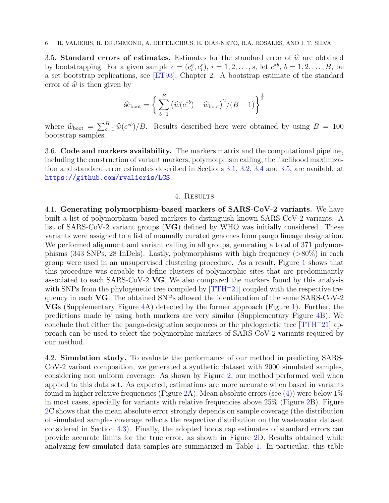<span id="page-5-0"></span>3.5. Standard errors of estimates. Estimates for the standard error of  $\hat{w}$  are obtained by bootstrapping. For a given sample  $c = (c_i^a, c_i^r), i = 1, 2, \ldots, s$ , let  $c^{*b}, b = 1, 2, \ldots, B$ , be a set bootstrap replications, see [\[ET93\]](#page-12-7), Chapter 2. A bootstrap estimate of the standard error of  $\hat{w}$  is then given by

$$
\widehat{\text{se}}_{\text{boot}} = \left\{ \sum_{b=1}^{B} \left( \widehat{w}(c^{*b}) - \widehat{w}_{\text{boot}} \right)^2 / (B - 1) \right\}^{\frac{1}{2}}
$$

where  $\hat{w}_{\text{boot}} = \sum_{b=1}^{B} \hat{w}(c^{*b})/B$ . Results described here were obtained by using  $B = 100$ bootstrap samples.

3.6. Code and markers availability. The markers matrix and the computational pipeline, including the construction of variant markers, polymorphism calling, the likelihood maximization and standard error estimates described in Sections [3.1,](#page-3-0) [3.2,](#page-4-1) [3.4](#page-4-0) and [3.5,](#page-5-0) are available at <https://github.com/rvalieris/LCS>.

### 4. Results

4.1. Generating polymorphism-based markers of SARS-CoV-2 variants. We have built a list of polymorphism based markers to distinguish known SARS-CoV-2 variants. A list of SARS-CoV-2 variant groups (VG) defined by WHO was initially considered. These variants were assigned to a list of manually curated genomes from pango lineage designation. We performed alignment and variant calling in all groups, generating a total of 371 polymorphisms (343 SNPs, 28 InDels). Lastly, polymorphisms with high frequency (>80%) in each group were used in an unsupervised clustering procedure. As a result, Figure [1](#page-6-0) shows that this procedure was capable to define clusters of polymorphic sites that are predominantly associated to each SARS-CoV-2 VG. We also compared the markers found by this analysis with SNPs from the phylogenetic tree compiled by  $[TH^+21]$  coupled with the respective frequency in each VG. The obtained SNPs allowed the identification of the same SARS-CoV-2 VGs (Supplementary Figure [4A](#page-14-0)) detected by the former approach (Figure [1\)](#page-6-0). Further, the predictions made by using both markers are very similar (Supplementary Figure [4B](#page-14-0)). We conclude that either the pango-designation sequences or the phylogenetic tree  $[TH^+21]$  approach can be used to select the polymorphic markers of SARS-CoV-2 variants required by our method.

4.2. Simulation study. To evaluate the performance of our method in predicting SARS-CoV-2 variant composition, we generated a synthetic dataset with 2000 simulated samples, considering non uniform coverage. As shown by Figure [2,](#page-8-0) our method performed well when applied to this data set. As expected, estimations are more accurate when based in variants found in higher relative frequencies (Figure [2A](#page-8-0)). Mean absolute errors (see [\(4\)](#page-4-3)) were below  $1\%$ in most cases, specially for variants with relative frequencies above 25% (Figure [2B](#page-8-0)). Figure [2C](#page-8-0) shows that the mean absolute error strongly depends on sample coverage (the distribution of simulated samples coverage reflects the respective distribution on the wastewater dataset considered in Section [4.3\)](#page-6-1). Finally, the adopted bootstrap estimates of standard errors can provide accurate limits for the true error, as shown in Figure [2D](#page-8-0). Results obtained while analyzing few simulated data samples are summarized in Table [1.](#page-7-0) In particular, this table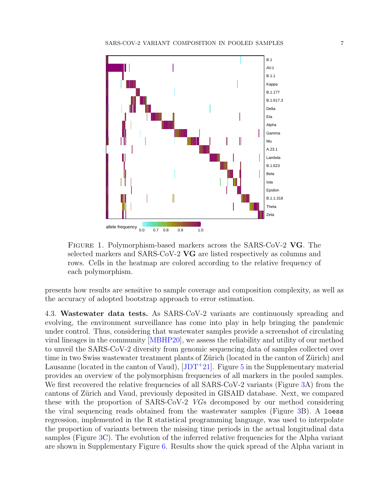

<span id="page-6-0"></span>Figure 1. Polymorphism-based markers across the SARS-CoV-2 VG. The selected markers and SARS-CoV-2 VG are listed respectively as columns and rows. Cells in the heatmap are colored according to the relative frequency of each polymorphism.

presents how results are sensitive to sample coverage and composition complexity, as well as the accuracy of adopted bootstrap approach to error estimation.

<span id="page-6-1"></span>4.3. Wastewater data tests. As SARS-CoV-2 variants are continuously spreading and evolving, the environment surveillance has come into play in help bringing the pandemic under control. Thus, considering that wastewater samples provide a screenshot of circulating viral lineages in the community [\[MBHP20\]](#page-13-14), we assess the reliability and utility of our method to unveil the SARS-CoV-2 diversity from genomic sequencing data of samples collected over time in two Swiss wastewater treatment plants of Zürich (located in the canton of Zürich) and Lausanne (located in the canton of Vaud),  $[JDT+21]$  $[JDT+21]$ . Figure [5](#page-15-0) in the Supplementary material provides an overview of the polymorphism frequencies of all markers in the pooled samples. We first recovered the relative frequencies of all SARS-CoV-2 variants (Figure [3A](#page-9-0)) from the cantons of Zürich and Vaud, previously deposited in GISAID database. Next, we compared these with the proportion of SARS-CoV-2 VGs decomposed by our method considering the viral sequencing reads obtained from the wastewater samples (Figure [3B](#page-9-0)). A loess regression, implemented in the R statistical programming language, was used to interpolate the proportion of variants between the missing time periods in the actual longitudinal data samples (Figure [3C](#page-9-0)). The evolution of the inferred relative frequencies for the Alpha variant are shown in Supplementary Figure [6.](#page-16-0) Results show the quick spread of the Alpha variant in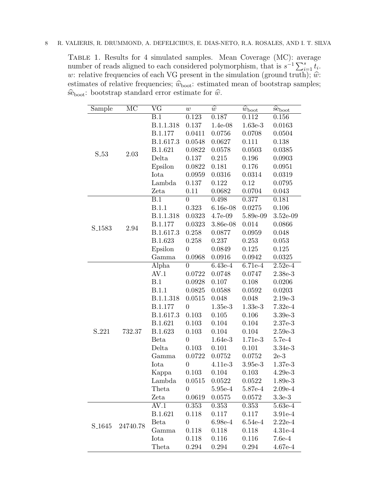<span id="page-7-0"></span>Table 1. Results for 4 simulated samples. Mean Coverage (MC): average number of reads aligned to each considered polymorphism, that is  $s^{-1} \sum_{i=1}^{s} t_i$ . w: relative frequencies of each VG present in the simulation (ground truth);  $\hat{w}$ : estimates of relative frequencies;  $\widehat{w}_{boot}$ : estimated mean of bootstrap samples;  $\widehat{\text{se}}_{\text{boot}}$ : bootstrap standard error estimate for  $\widehat{w}$ .

| Sample             | MC       | $\overline{\text{VG}}$ | w              | $\widehat{w}$                      | $\overline{\hat{w}}_{\text{boot}}$ | $\overline{\hat{\mathsf{se}}}_{\text{boot}}$ |
|--------------------|----------|------------------------|----------------|------------------------------------|------------------------------------|----------------------------------------------|
| S <sub>-53</sub>   | 2.03     | B.1                    | 0.123          | 0.187                              | 0.112                              | 0.156                                        |
|                    |          | B.1.1.318              | 0.137          | $1.4e-08$                          | $1.63e-3$                          | 0.0163                                       |
|                    |          | B.1.177                | 0.0411         | 0.0756                             | 0.0708                             | 0.0504                                       |
|                    |          | B.1.617.3              | 0.0548         | 0.0627                             | 0.111                              | 0.138                                        |
|                    |          | B.1.621                | 0.0822         | 0.0578                             | 0.0503                             | 0.0385                                       |
|                    |          | Delta                  | 0.137          | 0.215                              | 0.196                              | 0.0903                                       |
|                    |          | Epsilon                | 0.0822         | 0.181                              | 0.176                              | 0.0951                                       |
|                    |          | Iota                   | 0.0959         | 0.0316                             | 0.0314                             | 0.0319                                       |
|                    |          | Lambda                 | 0.137          | 0.122                              | 0.12                               | 0.0795                                       |
|                    |          | Zeta                   | 0.11           | 0.0682                             | 0.0704                             | 0.043                                        |
| S <sub>-1583</sub> | 2.94     | $\overline{B.1}$       | $\overline{0}$ | 0.498                              | 0.377                              | 0.181                                        |
|                    |          | <b>B.1.1</b>           | 0.323          | $6.16e-08$                         | 0.0275                             | 0.106                                        |
|                    |          | B.1.1.318              | 0.0323         | $4.7e-09$                          | 5.89e-09                           | $3.52e-09$                                   |
|                    |          | B.1.177                | 0.0323         | 3.86e-08                           | 0.014                              | 0.0866                                       |
|                    |          | B.1.617.3              | 0.258          | 0.0877                             | 0.0959                             | 0.048                                        |
|                    |          | B.1.623                | 0.258          | 0.237                              | 0.253                              | 0.053                                        |
|                    |          | Epsilon                | $\overline{0}$ | 0.0849                             | 0.125                              | 0.125                                        |
|                    |          | Gamma                  | 0.0968         | 0.0916                             | 0.0942                             | 0.0325                                       |
|                    | 732.37   | Alpha                  | $\overline{0}$ | $6.43e-4$                          | 6.71e-4                            | $2.52e-4$                                    |
|                    |          | AV.1                   | 0.0722         | 0.0748                             | 0.0747                             | 2.38e-3                                      |
|                    |          | B.1                    | 0.0928         | 0.107                              | 0.108                              | 0.0206                                       |
|                    |          | <b>B.1.1</b>           | 0.0825         | 0.0588                             | 0.0592                             | 0.0203                                       |
|                    |          | B.1.1.318              | 0.0515         | 0.048                              | 0.048                              | $2.19e-3$                                    |
|                    |          | B.1.177                | $\overline{0}$ | $1.35e-3$                          | $1.33e-3$                          | $7.32e-4$                                    |
|                    |          | B.1.617.3              | 0.103          | 0.105                              | 0.106                              | $3.39e-3$                                    |
| S <sub>-221</sub>  |          | B.1.621                | 0.103          | 0.104                              | 0.104                              | $2.37e-3$                                    |
|                    |          | B.1.623                | 0.103          | 0.104                              | 0.104                              | $2.59e-3$                                    |
|                    |          | Beta                   | $\overline{0}$ | 1.64e-3                            | 1.71e-3                            | $5.7e-4$                                     |
|                    |          | Delta                  | 0.103          | 0.101                              | 0.101                              | 3.34e-3                                      |
|                    |          | Gamma                  | 0.0722         | 0.0752                             | 0.0752                             | $2e-3$                                       |
|                    |          | Iota                   | $\overline{0}$ | 4.11e-3                            | $3.95e-3$                          | $1.37e-3$                                    |
|                    |          | Kappa                  | 0.103          | 0.104                              | 0.103                              | $4.29e-3$                                    |
|                    |          | Lambda                 | 0.0515         | 0.0522                             | 0.0522                             | 1.89e-3                                      |
|                    |          | Theta                  | U              | $5.95\mathrm{e}\text{-}\mathrm{4}$ | 5.87e-4                            | $2.09e-4$                                    |
|                    |          | Zeta                   | 0.0619         | 0.0575                             | 0.0572                             | $3.3e-3$                                     |
| S <sub>-1645</sub> | 24740.78 | AV.1                   | 0.353          | 0.353                              | 0.353                              | 5.63e-4                                      |
|                    |          | B.1.621                | $0.118\,$      | 0.117                              | 0.117                              | 3.91e-4                                      |
|                    |          | Beta                   | $\overline{0}$ | $6.98e-4$                          | $6.54e-4$                          | $2.22e-4$                                    |
|                    |          | Gamma                  | 0.118          | 0.118                              | 0.118                              | $4.31e-4$                                    |
|                    |          | Iota                   | 0.118          | 0.116                              | 0.116                              | $7.6e-4$                                     |
|                    |          | Theta                  | 0.294          | 0.294                              | 0.294                              | $4.67e-4$                                    |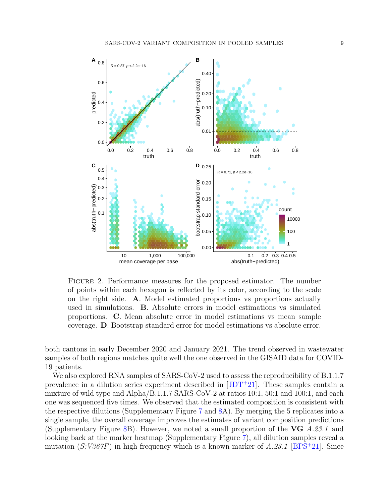

<span id="page-8-0"></span>Figure 2. Performance measures for the proposed estimator. The number of points within each hexagon is reflected by its color, according to the scale on the right side. A. Model estimated proportions vs proportions actually used in simulations. B. Absolute errors in model estimations vs simulated proportions. C. Mean absolute error in model estimations vs mean sample coverage. D. Bootstrap standard error for model estimations vs absolute error.

both cantons in early December 2020 and January 2021. The trend observed in wastewater samples of both regions matches quite well the one observed in the GISAID data for COVID-19 patients.

We also explored RNA samples of SARS-CoV-2 used to assess the reproducibility of B.1.1.7 prevalence in a dilution series experiment described in  $[JDT+21]$  $[JDT+21]$ . These samples contain a mixture of wild type and Alpha/B.1.1.7 SARS-CoV-2 at ratios 10:1, 50:1 and 100:1, and each one was sequenced five times. We observed that the estimated composition is consistent with the respective dilutions (Supplementary Figure [7](#page-17-0) and [8A](#page-18-1)). By merging the 5 replicates into a single sample, the overall coverage improves the estimates of variant composition predictions (Supplementary Figure [8B](#page-18-1)). However, we noted a small proportion of the  $VG$   $A.23.1$  and looking back at the marker heatmap (Supplementary Figure [7\)](#page-17-0), all dilution samples reveal a mutation  $(S:V367F)$  in high frequency which is a known marker of A.23.1 [\[BPS](#page-12-8)<sup>+</sup>21]. Since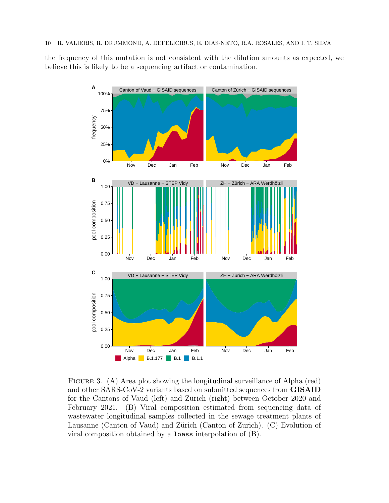the frequency of this mutation is not consistent with the dilution amounts as expected, we believe this is likely to be a sequencing artifact or contamination.



<span id="page-9-0"></span>FIGURE 3. (A) Area plot showing the longitudinal surveillance of Alpha (red) and other SARS-CoV-2 variants based on submitted sequences from GISAID for the Cantons of Vaud (left) and Zürich (right) between October 2020 and February 2021. (B) Viral composition estimated from sequencing data of wastewater longitudinal samples collected in the sewage treatment plants of Lausanne (Canton of Vaud) and Zürich (Canton of Zurich). (C) Evolution of viral composition obtained by a loess interpolation of (B).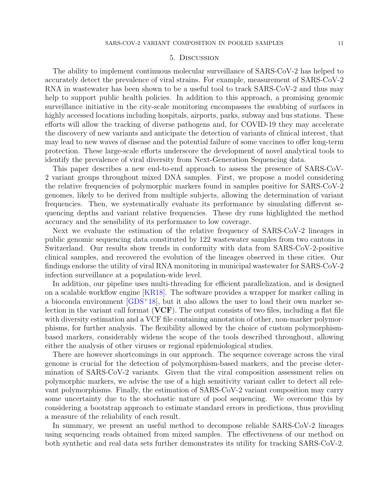#### 5. Discussion

The ability to implement continuous molecular surveillance of SARS-CoV-2 has helped to accurately detect the prevalence of viral strains. For example, measurement of SARS-CoV-2 RNA in wastewater has been shown to be a useful tool to track SARS-CoV-2 and thus may help to support public health policies. In addition to this approach, a promising genomic surveillance initiative in the city-scale monitoring encompasses the swabbing of surfaces in highly accessed locations including hospitals, airports, parks, subway and bus stations. These efforts will allow the tracking of diverse pathogens and, for COVID-19 they may accelerate the discovery of new variants and anticipate the detection of variants of clinical interest, that may lead to new waves of disease and the potential failure of some vaccines to offer long-term protection. These large-scale efforts underscore the development of novel analytical tools to identify the prevalence of viral diversity from Next-Generation Sequencing data.

This paper describes a new end-to-end approach to assess the presence of SARS-CoV-2 variant groups throughout mixed DNA samples. First, we propose a model considering the relative frequencies of polymorphic markers found in samples positive for SARS-CoV-2 genomes, likely to be derived from multiple subjects, allowing the determination of variant frequencies. Then, we systematically evaluate its performance by simulating different sequencing depths and variant relative frequencies. These dry runs highlighted the method accuracy and the sensibility of its performance to low coverage.

Next we evaluate the estimation of the relative frequency of SARS-CoV-2 lineages in public genomic sequencing data constituted by 122 wastewater samples from two cantons in Switzerland. Our results show trends in conformity with data from SARS-CoV-2-positive clinical samples, and recovered the evolution of the lineages observed in these cities. Our findings endorse the utility of viral RNA monitoring in municipal wastewater for SARS-CoV-2 infection surveillance at a population-wide level.

In addition, our pipeline uses multi-threading for efficient parallelization, and is designed on a scalable workflow engine [\[KR18\]](#page-13-15). The software provides a wrapper for marker calling in a bioconda environment  $[GB5+18]$ , but it also allows the user to load their own marker selection in the variant call format  $(VCF)$ . The output consists of two files, including a flat file with diversity estimation and a VCF file containing annotation of other, non-marker polymorphisms, for further analysis. The flexibility allowed by the choice of custom polymorphismbased markers, considerably widens the scope of the tools described throughout, allowing either the analysis of other viruses or regional epidemiological studies.

There are however shortcomings in our approach. The sequence coverage across the viral genome is crucial for the detection of polymorphism-based markers, and the precise determination of SARS-CoV-2 variants. Given that the viral composition assessment relies on polymorphic markers, we advise the use of a high sensitivity variant caller to detect all relevant polymorphisms. Finally, the estimation of SARS-CoV-2 variant composition may carry some uncertainty due to the stochastic nature of pool sequencing. We overcome this by considering a bootstrap approach to estimate standard errors in predictions, thus providing a measure of the reliability of each result.

In summary, we present an useful method to decompose reliable SARS-CoV-2 lineages using sequencing reads obtained from mixed samples. The effectiveness of our method on both synthetic and real data sets further demonstrates its utility for tracking SARS-CoV-2.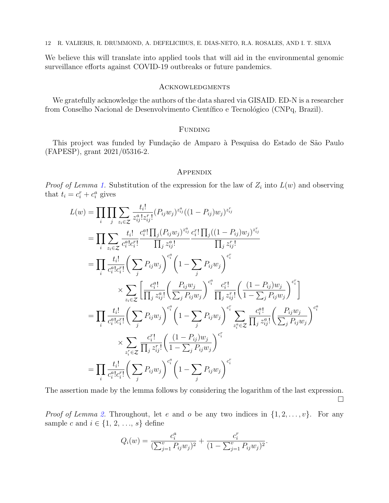We believe this will translate into applied tools that will aid in the environmental genomic surveillance efforts against COVID-19 outbreaks or future pandemics.

### **ACKNOWLEDGMENTS**

We gratefully acknowledge the authors of the data shared via GISAID. ED-N is a researcher from Conselho Nacional de Desenvolvimento Científico e Tecnológico (CNPq, Brazil).

# FUNDING

This project was funded by Fundação de Amparo à Pesquisa do Estado de São Paulo (FAPESP), grant 2021/05316-2.

#### **APPENDIX**

*Proof of Lemma [1.](#page-3-2)* Substitution of the expression for the law of  $Z_i$  into  $L(w)$  and observing that  $t_i = c_i^r + c_i^a$  gives

$$
L(w) = \prod_{i} \prod_{j} \sum_{z_{i} \in Z} \frac{t_{i}!}{z_{ij}^{a}! z_{ij}^{r}} (P_{ij} w_{j})^{z_{ij}^{a}} ((1 - P_{ij}) w_{j})^{z_{ij}^{r}}
$$
  
\n
$$
= \prod_{i} \sum_{z_{i} \in Z} \frac{t_{i}!}{c_{i}^{a}! c_{i}^{r}} \frac{c_{i}^{a}! \prod_{j} (P_{ij} w_{j})^{z_{ij}^{a}} c_{i}^{r}! \prod_{j} ((1 - P_{ij}) w_{j})^{z_{ij}^{r}}
$$
  
\n
$$
= \prod_{i} \frac{t_{i}!}{c_{i}^{a}! c_{i}^{r}} \left( \sum_{j} P_{ij} w_{j} \right)^{c_{i}^{a}} \left( 1 - \sum_{j} P_{ij} w_{j} \right)^{c_{i}^{r}}
$$
  
\n
$$
\times \sum_{z_{i} \in Z} \left[ \frac{c_{i}^{a}!}{\prod_{j} z_{ij}^{a}!} \left( \frac{P_{ij} w_{j}}{\sum_{j} P_{ij} w_{j}} \right)^{c_{i}^{a}} \frac{c_{i}^{r}!}{\prod_{j} z_{ij}^{r}} \left( \frac{(1 - P_{ij}) w_{j}}{1 - \sum_{j} P_{ij} w_{j}} \right)^{c_{i}^{r}}
$$
  
\n
$$
= \prod_{i} \frac{t_{i}!}{c_{i}^{a}! c_{i}^{r}} \left( \sum_{j} P_{ij} w_{j} \right)^{c_{i}^{a}} \left( 1 - \sum_{j} P_{ij} w_{j} \right)^{c_{i}^{r}} \sum_{z_{i}^{a} \in Z} \frac{c_{i}^{a}!}{\prod_{j} z_{ij}^{a}!} \left( \frac{P_{ij} w_{j}}{\sum_{j} P_{ij} w_{j}} \right)^{c_{i}^{a}}
$$
  
\n
$$
\times \sum_{z_{i}^{r} \in Z} \frac{c_{i}^{r}!}{\prod_{j} z_{ij}^{r}} \left( \frac{(1 - P_{ij}) w_{j}}{1 - \sum_{j} P_{ij} w_{j}} \right)^{c_{i}^{r}}
$$
  
\n
$$
= \prod_{i} \frac{t_{i}!}{c_{i}^{a}
$$

The assertion made by the lemma follows by considering the logarithm of the last expression.  $\Box$ 

*Proof of Lemma [2.](#page-4-2)* Throughout, let e and o be any two indices in  $\{1, 2, \ldots, v\}$ . For any sample c and  $i \in \{1, 2, ..., s\}$  define

$$
Q_i(w) = \frac{c_i^a}{(\sum_{j=1}^v P_{ij}w_j)^2} + \frac{c_i^r}{(1 - \sum_{j=1}^v P_{ij}w_j)^2}.
$$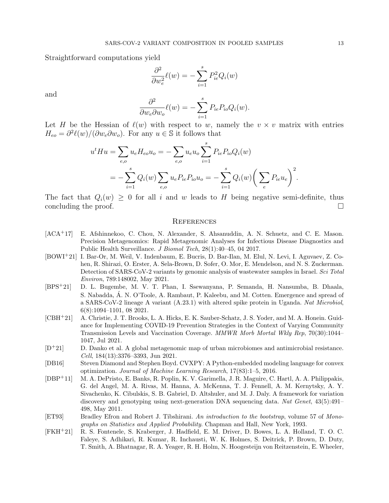Straightforward computations yield

$$
\frac{\partial^2}{\partial w_e^2} \ell(w) = -\sum_{i=1}^s P_{ie}^2 Q_i(w)
$$

and

$$
\frac{\partial^2}{\partial w_e \partial w_o} \ell(w) = -\sum_{i=1}^s P_{ie} P_{io} Q_i(w).
$$

Let H be the Hessian of  $\ell(w)$  with respect to w, namely the  $v \times v$  matrix with entries  $H_{eo} = \partial^2 \ell(w) / (\partial w_e \partial w_o)$ . For any  $u \in \mathbb{S}$  it follows that

$$
u^t H u = \sum_{e,o} u_e H_{eo} u_o = -\sum_{e,o} u_e u_o \sum_{i=1}^s P_{ie} P_{io} Q_i(w)
$$
  
= 
$$
-\sum_{i=1}^s Q_i(w) \sum_{e,o} u_e P_{ie} P_{io} u_o = -\sum_{i=1}^s Q_i(w) \left(\sum_e P_{ie} u_e\right)^2
$$

The fact that  $Q_i(w) > 0$  for all i and w leads to H being negative semi-definite, thus concluding the proof.

#### **REFERENCES**

- <span id="page-12-3"></span>[ACA<sup>+</sup>17] E. Afshinnekoo, C. Chou, N. Alexander, S. Ahsanuddin, A. N. Schuetz, and C. E. Mason. Precision Metagenomics: Rapid Metagenomic Analyses for Infectious Disease Diagnostics and Public Health Surveillance. J Biomol Tech, 28(1):40–45, 04 2017.
- <span id="page-12-1"></span>[BOWI+21] I. Bar-Or, M. Weil, V. Indenbaum, E. Bucris, D. Bar-Ilan, M. Elul, N. Levi, I. Aguvaev, Z. Cohen, R. Shirazi, O. Erster, A. Sela-Brown, D. Sofer, O. Mor, E. Mendelson, and N. S. Zuckerman. Detection of SARS-CoV-2 variants by genomic analysis of wastewater samples in Israel. Sci Total Environ, 789:148002, May 2021.
- <span id="page-12-8"></span>[BPS+21] D. L. Bugembe, M. V. T. Phan, I. Ssewanyana, P. Semanda, H. Nansumba, B. Dhaala, S. Nabadda, A. N. O'Toole, A. Rambaut, P. Kaleebu, and M. Cotten. Emergence and spread of ´ a SARS-CoV-2 lineage A variant (A.23.1) with altered spike protein in Uganda. Nat Microbiol, 6(8):1094–1101, 08 2021.
- <span id="page-12-0"></span>[CBH+21] A. Christie, J. T. Brooks, L. A. Hicks, E. K. Sauber-Schatz, J. S. Yoder, and M. A. Honein. Guidance for Implementing COVID-19 Prevention Strategies in the Context of Varying Community Transmission Levels and Vaccination Coverage. MMWR Morb Mortal Wkly Rep, 70(30):1044– 1047, Jul 2021.
- <span id="page-12-4"></span>[D<sup>+</sup>21] D. Danko et al. A global metagenomic map of urban microbiomes and antimicrobial resistance. Cell, 184(13):3376–3393, Jun 2021.
- <span id="page-12-6"></span>[DB16] Steven Diamond and Stephen Boyd. CVXPY: A Python-embedded modeling language for convex optimization. Journal of Machine Learning Research, 17(83):1–5, 2016.
- <span id="page-12-5"></span>[DBP<sup>+</sup>11] M. A. DePristo, E. Banks, R. Poplin, K. V. Garimella, J. R. Maguire, C. Hartl, A. A. Philippakis, G. del Angel, M. A. Rivas, M. Hanna, A. McKenna, T. J. Fennell, A. M. Kernytsky, A. Y. Sivachenko, K. Cibulskis, S. B. Gabriel, D. Altshuler, and M. J. Daly. A framework for variation discovery and genotyping using next-generation DNA sequencing data. Nat Genet, 43(5):491– 498, May 2011.
- <span id="page-12-7"></span>[ET93] Bradley Efron and Robert J. Tibshirani. An introduction to the bootstrap, volume 57 of Monographs on Statistics and Applied Probability. Chapman and Hall, New York, 1993.
- <span id="page-12-2"></span>[FKH<sup>+</sup>21] R. S. Fontenele, S. Kraberger, J. Hadfield, E. M. Driver, D. Bowes, L. A. Holland, T. O. C. Faleye, S. Adhikari, R. Kumar, R. Inchausti, W. K. Holmes, S. Deitrick, P. Brown, D. Duty, T. Smith, A. Bhatnagar, R. A. Yeager, R. H. Holm, N. Hoogesteijn von Reitzenstein, E. Wheeler,

.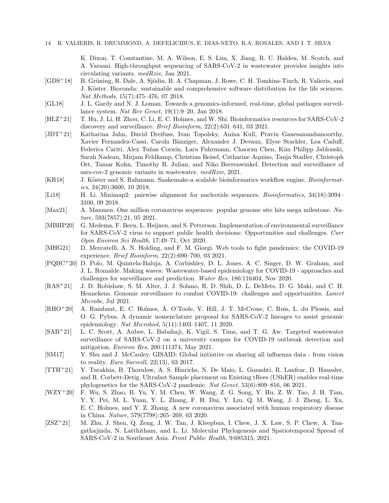K. Dixon, T. Constantine, M. A. Wilson, E. S. Lim, X. Jiang, R. U. Halden, M. Scotch, and A. Varsani. High-throughput sequencing of SARS-CoV-2 in wastewater provides insights into circulating variants. medRxiv, Jan 2021.

- <span id="page-13-16"></span>[GDS<sup>+</sup>18] B. Grüning, R. Dale, A. Sjödin, B. A. Chapman, J. Rowe, C. H. Tomkins-Tinch, R. Valieris, and J. Köster. Bioconda: sustainable and comprehensive software distribution for the life sciences. Nat Methods, 15(7):475–476, 07 2018.
- <span id="page-13-5"></span>[GL18] J. L. Gardy and N. J. Loman. Towards a genomics-informed, real-time, global pathogen surveillance system. Nat Rev Genet, 19(1):9–20, Jan 2018.
- <span id="page-13-9"></span>[HLZ+21] T. Hu, J. Li, H. Zhou, C. Li, E. C. Holmes, and W. Shi. Bioinformatics resources for SARS-CoV-2 discovery and surveillance. Brief Bioinform, 22(2):631–641, 03 2021.
- <span id="page-13-8"></span>[JDT+21] Katharina Jahn, David Dreifuss, Ivan Topolsky, Anina Kull, Pravin Ganesanandamoorthy, Xavier Fernandez-Cassi, Carola Bänziger, Alexander J. Devaux, Elyse Stachler, Lea Caduff, Federica Cariti, Alex Tuñas Corzón, Lara Fuhrmann, Chaoran Chen, Kim Philipp Jablonski, Sarah Nadeau, Mirjam Feldkamp, Christian Beisel, Catharine Aquino, Tanja Stadler, Christoph Ort, Tamar Kohn, Timothy R. Julian, and Niko Beerenwinkel. Detection and surveillance of sars-cov-2 genomic variants in wastewater. medRxiv, 2021.
- <span id="page-13-15"></span>[KR18] J. Köster and S. Rahmann. Snakemake-a scalable bioinformatics workflow engine. Bioinformatics,  $34(20):3600$ , 10 2018.
- <span id="page-13-13"></span>[Li18] H. Li. Minimap2: pairwise alignment for nucleotide sequences. Bioinformatics, 34(18):3094– 3100, 09 2018.
- <span id="page-13-3"></span>[Max21] A. Maxmen. One million coronavirus sequences: popular genome site hits mega milestone. Nature, 593(7857):21, 05 2021.
- <span id="page-13-14"></span>[MBHP20] G. Medema, F. Been, L. Heijnen, and S. Petterson. Implementation of environmental surveillance for SARS-CoV-2 virus to support public health decisions: Opportunities and challenges. Curr Opin Environ Sci Health, 17:49–71, Oct 2020.
- <span id="page-13-1"></span>[MHG21] D. Mercatelli, A. N. Holding, and F. M. Giorgi. Web tools to fight pandemics: the COVID-19 experience. Brief Bioinform, 22(2):690–700, 03 2021.
- <span id="page-13-7"></span>[PQBC+20] D. Polo, M. Quintela-Baluja, A. Corbishley, D. L. Jones, A. C. Singer, D. W. Graham, and J. L. Romalde. Making waves: Wastewater-based epidemiology for COVID-19 - approaches and challenges for surveillance and prediction. Water Res, 186:116404, Nov 2020.
- <span id="page-13-4"></span>[RAS+21] J. D. Robishaw, S. M. Alter, J. J. Solano, R. D. Shih, D. L. DeMets, D. G. Maki, and C. H. Hennekens. Genomic surveillance to combat COVID-19: challenges and opportunities. Lancet Microbe, Jul 2021.
- <span id="page-13-12"></span>[RHO+20] A. Rambaut, E. C. Holmes, A. O'Toole, V. Hill, J. T. McCrone, C. Ruis, L. du Plessis, and ´ O. G. Pybus. A dynamic nomenclature proposal for SARS-CoV-2 lineages to assist genomic epidemiology. Nat Microbiol, 5(11):1403–1407, 11 2020.
- <span id="page-13-6"></span>[SAB+21] L. C. Scott, A. Aubee, L. Babahaji, K. Vigil, S. Tims, and T. G. Aw. Targeted wastewater surveillance of SARS-CoV-2 on a university campus for COVID-19 outbreak detection and mitigation. Environ Res, 200:111374, May 2021.
- <span id="page-13-10"></span>[SM17] Y. Shu and J. McCauley. GISAID: Global initiative on sharing all influenza data - from vision to reality. Euro Surveill, 22(13), 03 2017.
- <span id="page-13-11"></span>[TTH<sup>+</sup>21] Y. Turakhia, B. Thornlow, A. S. Hinrichs, N. De Maio, L. Gozashti, R. Lanfear, D. Haussler, and R. Corbett-Detig. Ultrafast Sample placement on Existing tRees (UShER) enables real-time phylogenetics for the SARS-CoV-2 pandemic. Nat Genet, 53(6):809–816, 06 2021.
- <span id="page-13-0"></span>[WZY<sup>+</sup>20] F. Wu, S. Zhao, B. Yu, Y. M. Chen, W. Wang, Z. G. Song, Y. Hu, Z. W. Tao, J. H. Tian, Y. Y. Pei, M. L. Yuan, Y. L. Zhang, F. H. Dai, Y. Liu, Q. M. Wang, J. J. Zheng, L. Xu, E. C. Holmes, and Y. Z. Zhang. A new coronavirus associated with human respiratory disease in China. Nature, 579(7798):265–269, 03 2020.
- <span id="page-13-2"></span>[ZSZ<sup>+</sup>21] M. Zhu, J. Shen, Q. Zeng, J. W. Tan, J. Kleepbua, I. Chew, J. X. Law, S. P. Chew, A. Tangathajinda, N. Latthitham, and L. Li. Molecular Phylogenesis and Spatiotemporal Spread of SARS-CoV-2 in Southeast Asia. Front Public Health, 9:685315, 2021.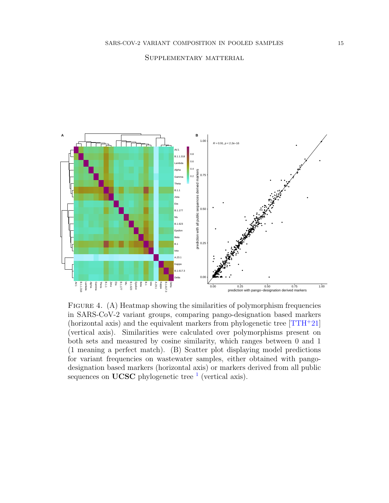### Supplementary matterial



<span id="page-14-0"></span>FIGURE 4. (A) Heatmap showing the similarities of polymorphism frequencies in SARS-CoV-2 variant groups, comparing pango-designation based markers (horizontal axis) and the equivalent markers from phylogenetic tree  $[TH^+21]$ (vertical axis). Similarities were calculated over polymorphisms present on both sets and measured by cosine similarity, which ranges between 0 and 1 (1 meaning a perfect match). (B) Scatter plot displaying model predictions for variant frequencies on wastewater samples, either obtained with pangodesignation based markers (horizontal axis) or markers derived from all public sequences on UCSC phylogenetic tree  $<sup>1</sup>$  $<sup>1</sup>$  $<sup>1</sup>$  (vertical axis).</sup>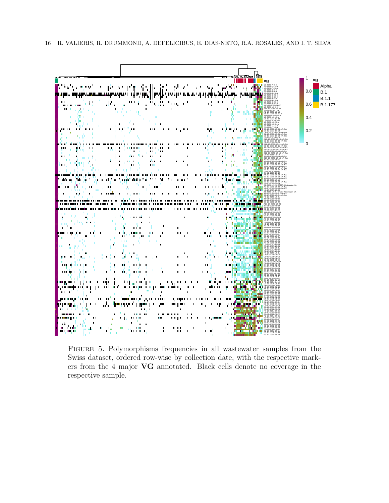

<span id="page-15-0"></span>Figure 5. Polymorphisms frequencies in all wastewater samples from the Swiss dataset, ordered row-wise by collection date, with the respective markers from the 4 major VG annotated. Black cells denote no coverage in the respective sample.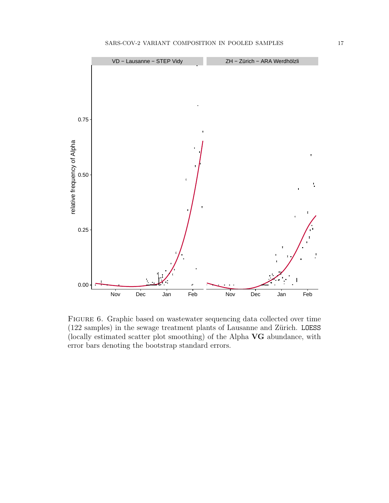

<span id="page-16-0"></span>Figure 6. Graphic based on wastewater sequencing data collected over time  $(122 \text{ samples})$  in the sewage treatment plants of Lausanne and Zürich. LOESS (locally estimated scatter plot smoothing) of the Alpha VG abundance, with error bars denoting the bootstrap standard errors.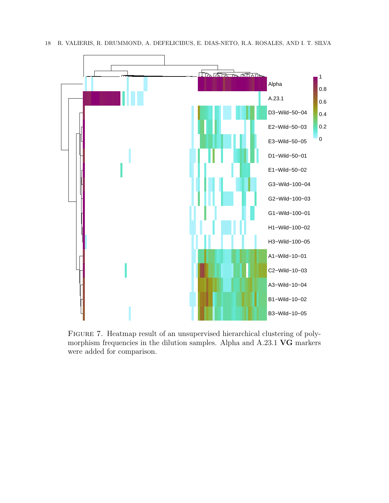

<span id="page-17-0"></span>Figure 7. Heatmap result of an unsupervised hierarchical clustering of polymorphism frequencies in the dilution samples. Alpha and A.23.1 VG markers were added for comparison.